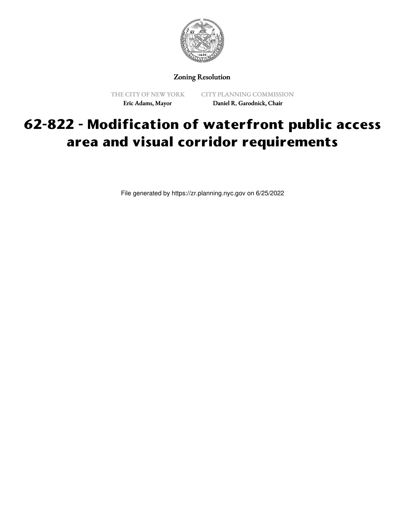

Zoning Resolution

THE CITY OF NEW YORK Eric Adams, Mayor

CITY PLANNING COMMISSION Daniel R. Garodnick, Chair

## **62-822 - Modification of waterfront public access area and visual corridor requirements**

File generated by https://zr.planning.nyc.gov on 6/25/2022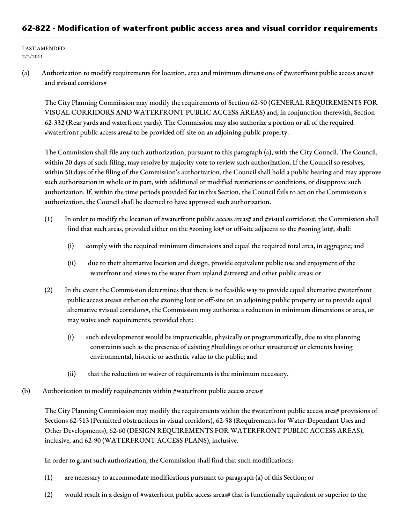## **62-822 - Modification of waterfront public access area and visual corridor requirements**

LAST AMENDED 2/2/2011

(a) Authorization to modify requirements for location, area and minimum dimensions of #waterfront public access areas# and #visual corridors#

The City Planning Commission may modify the requirements of Section 62-50 (GENERAL REQUIREMENTS FOR VISUAL CORRIDORS AND WATERFRONT PUBLIC ACCESS AREAS) and, in conjunction therewith, Section 62-332 (Rear yards and waterfront yards). The Commission may also authorize a portion or all of the required #waterfront public access area# to be provided off-site on an adjoining public property.

The Commission shall file any such authorization, pursuant to this paragraph (a), with the City Council. The Council, within 20 days of such filing, may resolve by majority vote to review such authorization. If the Council so resolves, within 50 days of the filing of the Commission's authorization, the Council shall hold a public hearing and may approve such authorization in whole or in part, with additional or modified restrictions or conditions, or disapprove such authorization. If, within the time periods provided for in this Section, the Council fails to act on the Commission's authorization, the Council shall be deemed to have approved such authorization.

- (1) In order to modify the location of #waterfront public access areas# and #visual corridors#, the Commission shall find that such areas, provided either on the #zoning lot# or off-site adjacent to the #zoning lot#, shall:
	- (i) comply with the required minimum dimensions and equal the required total area, in aggregate; and
	- (ii) due to their alternative location and design, provide equivalent public use and enjoyment of the waterfront and views to the water from upland #streets# and other public areas; or
- (2) In the event the Commission determines that there is no feasible way to provide equal alternative #waterfront public access areas# either on the #zoning lot# or off-site on an adjoining public property or to provide equal alternative #visual corridors#, the Commission may authorize a reduction in minimum dimensions or area, or may waive such requirements, provided that:
	- (i) such #development# would be impracticable, physically or programmatically, due to site planning constraints such as the presence of existing #buildings or other structures# or elements having environmental, historic or aesthetic value to the public; and
	- (ii) that the reduction or waiver of requirements is the minimum necessary.
- (b) Authorization to modify requirements within #waterfront public access areas#

The City Planning Commission may modify the requirements within the #waterfront public access area# provisions of Sections 62-513 (Permitted obstructions in visual corridors), 62-58 (Requirements for Water-Dependant Uses and Other Developments), 62-60 (DESIGN REQUIREMENTS FOR WATERFRONT PUBLIC ACCESS AREAS), inclusive, and 62-90 (WATERFRONT ACCESS PLANS), inclusive.

In order to grant such authorization, the Commission shall find that such modifications:

- (1) are necessary to accommodate modifications pursuant to paragraph (a) of this Section; or
- (2) would result in a design of #waterfront public access areas# that is functionally equivalent or superior to the